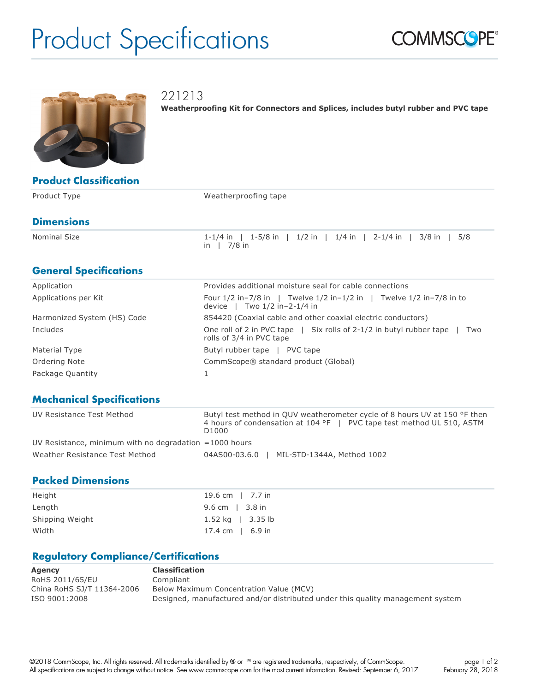# Product Specifications





221213

**Weatherproofing Kit for Connectors and Splices, includes butyl rubber and PVC tape**

| <b>Product Classification</b> |  |
|-------------------------------|--|
|                               |  |

| Product Type      | Weatherproofing tape                                                            |
|-------------------|---------------------------------------------------------------------------------|
| <b>Dimensions</b> |                                                                                 |
| Nominal Size      | 1-1/4 in   1-5/8 in   1/2 in   1/4 in   2-1/4 in   3/8 in   5/8<br>7/8 in<br>in |

### **General Specifications**

| Application                 | Provides additional moisture seal for cable connections                                                          |
|-----------------------------|------------------------------------------------------------------------------------------------------------------|
| Applications per Kit        | Four $1/2$ in-7/8 in   Twelve $1/2$ in- $1/2$ in   Twelve $1/2$ in-7/8 in to<br>device $ $ Two $1/2$ in-2-1/4 in |
| Harmonized System (HS) Code | 854420 (Coaxial cable and other coaxial electric conductors)                                                     |
| Includes                    | One roll of 2 in PVC tape $\parallel$ Six rolls of 2-1/2 in butyl rubber tape<br>Two<br>rolls of 3/4 in PVC tape |
| Material Type               | Butyl rubber tape<br>PVC tape                                                                                    |
| Ordering Note               | CommScope® standard product (Global)                                                                             |
| Package Quantity            |                                                                                                                  |

#### **Mechanical Specifications**

| UV Resistance Test Method                                | Butyl test method in OUV weatherometer cycle of 8 hours UV at 150 °F then<br>4 hours of condensation at 104 °F   PVC tape test method UL 510, ASTM<br>D1000 |
|----------------------------------------------------------|-------------------------------------------------------------------------------------------------------------------------------------------------------------|
| UV Resistance, minimum with no degradation $=1000$ hours |                                                                                                                                                             |
| Weather Resistance Test Method                           | MIL-STD-1344A, Method 1002<br>04AS00-03.6.0                                                                                                                 |

#### **Packed Dimensions**

| Height          | 19.6 cm   7.7 in       |
|-----------------|------------------------|
| Length          | 9.6 cm   $3.8$ in      |
| Shipping Weight | 1.52 kg $\mid$ 3.35 lb |
| Width           | 17.4 cm $\,$   6.9 in  |

#### **Regulatory Compliance/Certifications**

| Agency                     | <b>Classification</b>                                                          |
|----------------------------|--------------------------------------------------------------------------------|
| RoHS 2011/65/EU            | Compliant                                                                      |
| China RoHS SJ/T 11364-2006 | Below Maximum Concentration Value (MCV)                                        |
| ISO 9001:2008              | Designed, manufactured and/or distributed under this quality management system |